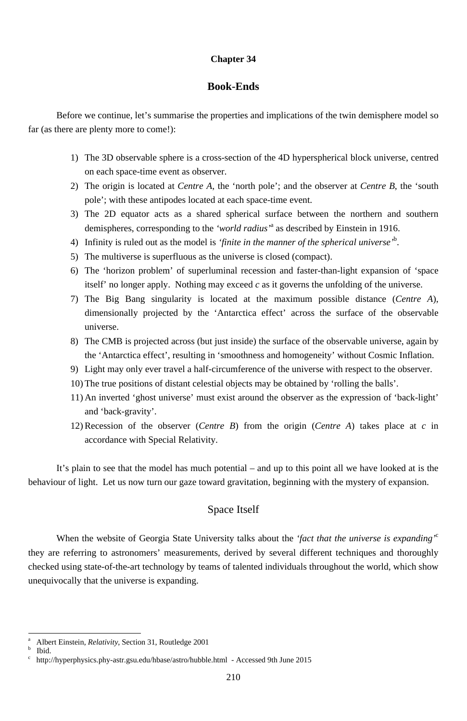### **Chapter 34**

# **Book-Ends**

Before we continue, let's summarise the properties and implications of the twin demisphere model so far (as there are plenty more to come!):

- 1) The 3D observable sphere is a cross-section of the 4D hyperspherical block universe, centred on each space-time event as observer.
- 2) The origin is located at *Centre A*, the 'north pole'; and the observer at *Centre B*, the 'south pole'; with these antipodes located at each space-time event.
- 3) The 2D equator acts as a shared spherical surface between the northern and southern demispheres, corresponding to the *'world radius'*<sup>a</sup> as described by Einstein in 1916.
- 4) Infinity is ruled out as the model is *'finite in the manner of the spherical universe'*<sup>b</sup> .
- 5) The multiverse is superfluous as the universe is closed (compact).
- 6) The 'horizon problem' of superluminal recession and faster-than-light expansion of 'space itself' no longer apply. Nothing may exceed *c* as it governs the unfolding of the universe.
- 7) The Big Bang singularity is located at the maximum possible distance (*Centre A*), dimensionally projected by the 'Antarctica effect' across the surface of the observable universe.
- 8) The CMB is projected across (but just inside) the surface of the observable universe, again by the 'Antarctica effect', resulting in 'smoothness and homogeneity' without Cosmic Inflation.
- 9) Light may only ever travel a half-circumference of the universe with respect to the observer.
- 10) The true positions of distant celestial objects may be obtained by 'rolling the balls'.
- 11) An inverted 'ghost universe' must exist around the observer as the expression of 'back-light' and 'back-gravity'.
- 12) Recession of the observer (*Centre B*) from the origin (*Centre A*) takes place at *c* in accordance with Special Relativity.

It's plain to see that the model has much potential – and up to this point all we have looked at is the behaviour of light. Let us now turn our gaze toward gravitation, beginning with the mystery of expansion.

# Space Itself

When the website of Georgia State University talks about the *'fact that the universe is expanding'*<sup>c</sup> they are referring to astronomers' measurements, derived by several different techniques and thoroughly checked using state-of-the-art technology by teams of talented individuals throughout the world, which show unequivocally that the universe is expanding.

b Ibid.

-

c http://hyperphysics.phy-astr.gsu.edu/hbase/astro/hubble.html - Accessed 9th June 2015

a Albert Einstein, *Relativity*, Section 31, Routledge 2001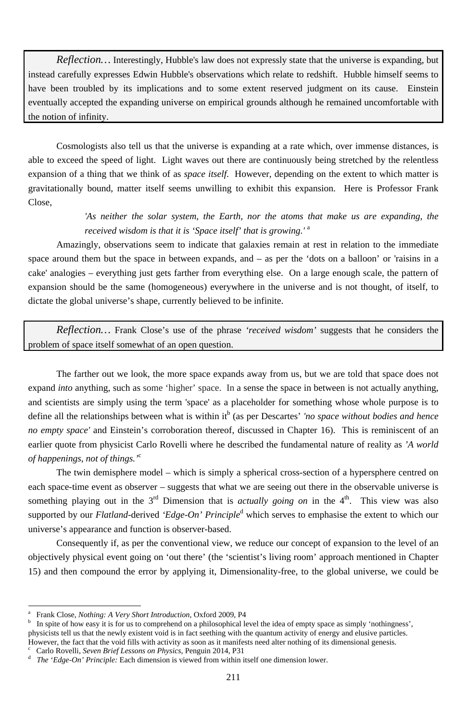*Reflection…* Interestingly, Hubble's law does not expressly state that the universe is expanding, but instead carefully expresses Edwin Hubble's observations which relate to redshift. Hubble himself seems to have been troubled by its implications and to some extent reserved judgment on its cause. Einstein eventually accepted the expanding universe on empirical grounds although he remained uncomfortable with the notion of infinity.

Cosmologists also tell us that the universe is expanding at a rate which, over immense distances, is able to exceed the speed of light. Light waves out there are continuously being stretched by the relentless expansion of a thing that we think of as *space itself*. However, depending on the extent to which matter is gravitationally bound, matter itself seems unwilling to exhibit this expansion. Here is Professor Frank Close,

# *'As neither the solar system, the Earth, nor the atoms that make us are expanding, the received wisdom is that it is 'Space itself' that is growing.'* <sup>a</sup>

Amazingly, observations seem to indicate that galaxies remain at rest in relation to the immediate space around them but the space in between expands, and – as per the 'dots on a balloon' or 'raisins in a cake' analogies – everything just gets farther from everything else. On a large enough scale, the pattern of expansion should be the same (homogeneous) everywhere in the universe and is not thought, of itself, to dictate the global universe's shape, currently believed to be infinite.

*Reflection…* Frank Close's use of the phrase *'received wisdom'* suggests that he considers the problem of space itself somewhat of an open question.

The farther out we look, the more space expands away from us, but we are told that space does not expand *into* anything, such as some 'higher' space. In a sense the space in between is not actually anything, and scientists are simply using the term 'space' as a placeholder for something whose whole purpose is to define all the relationships between what is within it<sup>b</sup> (as per Descartes' *'no space without bodies and hence no empty space'* and Einstein's corroboration thereof, discussed in Chapter 16). This is reminiscent of an earlier quote from physicist Carlo Rovelli where he described the fundamental nature of reality as *'A world of happenings, not of things.'*<sup>c</sup>

The twin demisphere model – which is simply a spherical cross-section of a hypersphere centred on each space-time event as observer – suggests that what we are seeing out there in the observable universe is something playing out in the  $3<sup>rd</sup>$  Dimension that is *actually going on* in the  $4<sup>th</sup>$ . This view was also supported by our *Flatland*-derived *'Edge-On' Principle*<sup>d</sup> which serves to emphasise the extent to which our universe's appearance and function is observer-based.

Consequently if, as per the conventional view, we reduce our concept of expansion to the level of an objectively physical event going on 'out there' (the 'scientist's living room' approach mentioned in Chapter 15) and then compound the error by applying it, Dimensionality-free, to the global universe, we could be

<sup>-</sup>

<sup>211</sup>

b In spite of how easy it is for us to comprehend on a philosophical level the idea of empty space as simply 'nothingness', physicists tell us that the newly existent void is in fact seething with the quantum activity of energy and elusive particles. However, the fact that the void fills with activity as soon as it manifests need alter nothing of its dimensional genesis.

a Frank Close, *Nothing: A Very Short Introduction*, Oxford 2009, P4

Carlo Rovelli, *Seven Brief Lessons on Physics*, Penguin 2014, P31

d *The 'Edge-On' Principle:* Each dimension is viewed from within itself one dimension lower.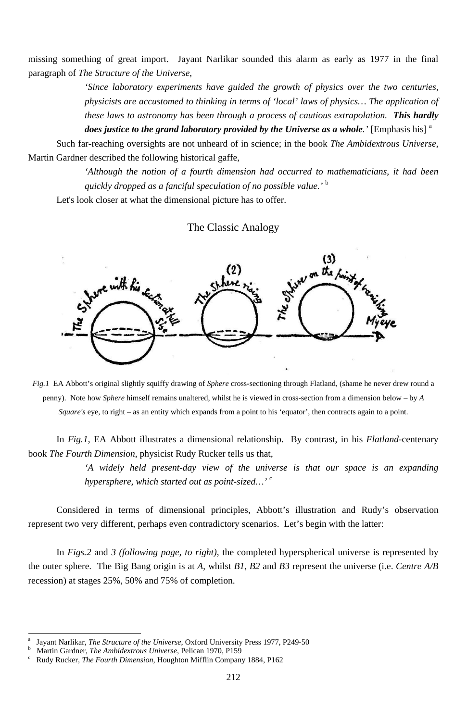*'Since laboratory experiments have guided the growth of physics over the two centuries, physicists are accustomed to thinking in terms of 'local' laws of physics… The application of these laws to astronomy has been through a process of cautious extrapolation. This hardly does justice to the grand laboratory provided by the Universe as a whole.'* [Emphasis his]<sup>a</sup>

missing something of great import. Jayant Narlikar sounded this alarm as early as 1977 in the final paragraph of *The Structure of the Universe*,

Such far-reaching oversights are not unheard of in science; in the book *The Ambidextrous Universe*, Martin Gardner described the following historical gaffe,

> *'Although the notion of a fourth dimension had occurred to mathematicians, it had been quickly dropped as a fanciful speculation of no possible value.'* <sup>b</sup>

Let's look closer at what the dimensional picture has to offer.

The Classic Analogy



-

*Fig.1* EA Abbott's original slightly squiffy drawing of *Sphere* cross-sectioning through Flatland, (shame he never drew round a penny). Note how *Sphere* himself remains unaltered, whilst he is viewed in cross-section from a dimension below – by *A Square's* eye, to right – as an entity which expands from a point to his 'equator', then contracts again to a point.

In *Fig.1*, EA Abbott illustrates a dimensional relationship. By contrast, in his *Flatland*-centenary book *The Fourth Dimension*, physicist Rudy Rucker tells us that,

> *'A widely held present-day view of the universe is that our space is an expanding hypersphere, which started out as point-sized…'* <sup>c</sup>

Considered in terms of dimensional principles, Abbott's illustration and Rudy's observation represent two very different, perhaps even contradictory scenarios. Let's begin with the latter:

In *Figs.2* and *3 (following page, to right)*, the completed hyperspherical universe is represented by the outer sphere. The Big Bang origin is at *A*, whilst *B1*, *B2* and *B3* represent the universe (i.e. *Centre A/B* recession) at stages 25%, 50% and 75% of completion.

<sup>212</sup>

b <sup>b</sup> Martin Gardner, *The Ambidextrous Universe*, Pelican 1970, P159<br><sup>c</sup> Rudy Rucker, *The Fourth Dimension*, Houghton Mifflin Company

a Jayant Narlikar, *The Structure of the Universe*, Oxford University Press 1977, P249-50

Rudy Rucker, *The Fourth Dimension*, Houghton Mifflin Company 1884, P162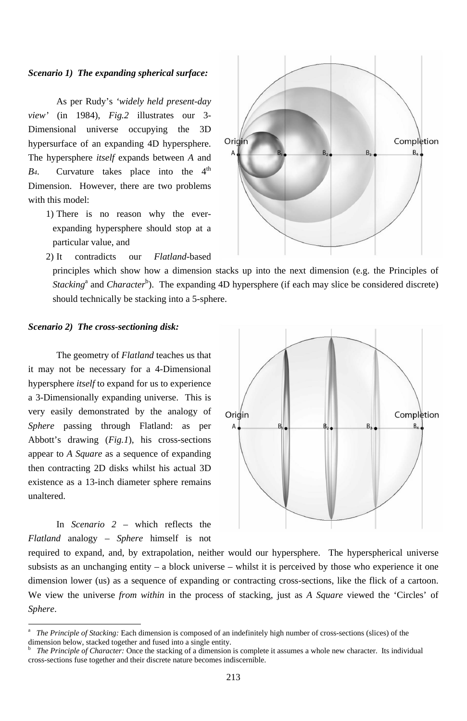As per Rudy's *'widely held present-day view'* (in 1984), *Fig.2* illustrates our 3- Dimensional universe occupying the 3D hypersurface of an expanding 4D hypersphere. The hypersphere *itself* expands between *A* and  $B_4$ . Curvature takes place into the  $4<sup>th</sup>$ Dimension. However, there are two problems with this model:

### *Scenario 1) The expanding spherical surface:*

1) There is no reason why the everexpanding hypersphere should stop at a particular value, and



2) It contradicts our *Flatland*-based

principles which show how a dimension stacks up into the next dimension (e.g. the Principles of *Stacking*<sup>a</sup> and *Character*<sup>b</sup>). The expanding 4D hypersphere (if each may slice be considered discrete) should technically be stacking into a 5-sphere.

### *Scenario 2) The cross-sectioning disk:*

The geometry of *Flatland* teaches us that it may not be necessary for a 4-Dimensional hypersphere *itself* to expand for us to experience a 3-Dimensionally expanding universe. This is very easily demonstrated by the analogy of *Sphere* passing through Flatland: as per Abbott's drawing (*Fig.1*), his cross-sections appear to *A Square* as a sequence of expanding then contracting 2D disks whilst his actual 3D existence as a 13-inch diameter sphere remains unaltered.

In *Scenario 2* – which reflects the



*Flatland* analogy – *Sphere* himself is not

-

required to expand, and, by extrapolation, neither would our hypersphere. The hyperspherical universe subsists as an unchanging entity – a block universe – whilst it is perceived by those who experience it one dimension lower (us) as a sequence of expanding or contracting cross-sections, like the flick of a cartoon. We view the universe *from within* in the process of stacking, just as *A Square* viewed the 'Circles' of *Sphere*.

a *The Principle of Stacking:* Each dimension is composed of an indefinitely high number of cross-sections (slices) of the dimension below, stacked together and fused into a single entity.

b *The Principle of Character:* Once the stacking of a dimension is complete it assumes a whole new character. Its individual cross-sections fuse together and their discrete nature becomes indiscernible.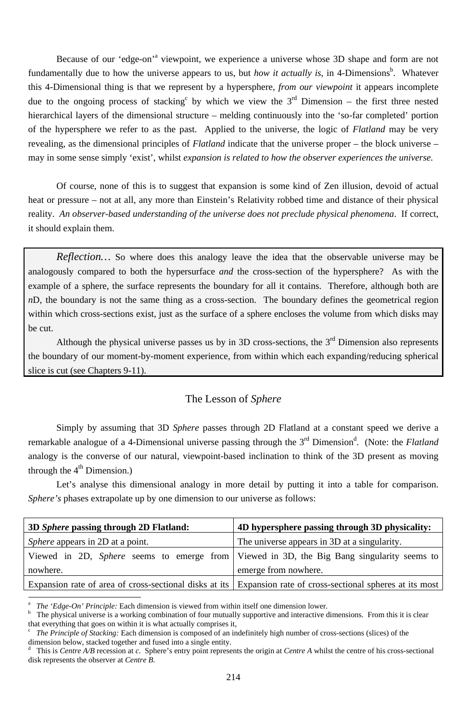Because of our 'edge-on'<sup>a</sup> viewpoint, we experience a universe whose 3D shape and form are not fundamentally due to how the universe appears to us, but *how it actually is*, in 4-Dimensions<sup>b</sup>. Whatever this 4-Dimensional thing is that we represent by a hypersphere, *from our viewpoint* it appears incomplete due to the ongoing process of stacking<sup>c</sup> by which we view the  $3<sup>rd</sup>$  Dimension – the first three nested hierarchical layers of the dimensional structure – melding continuously into the 'so-far completed' portion of the hypersphere we refer to as the past. Applied to the universe, the logic of *Flatland* may be very revealing, as the dimensional principles of *Flatland* indicate that the universe proper – the block universe – may in some sense simply 'exist', whilst *expansion is related to how the observer experiences the universe.*

Although the physical universe passes us by in  $3D$  cross-sections, the  $3<sup>rd</sup>$  Dimension also represents the boundary of our moment-by-moment experience, from within which each expanding/reducing spherical slice is cut (see Chapters 9-11).

Simply by assuming that 3D *Sphere* passes through 2D Flatland at a constant speed we derive a remarkable analogue of a 4-Dimensional universe passing through the 3<sup>rd</sup> Dimension<sup>d</sup>. (Note: the *Flatland* analogy is the converse of our natural, viewpoint-based inclination to think of the 3D present as moving through the  $4<sup>th</sup>$  Dimension.)

Of course, none of this is to suggest that expansion is some kind of Zen illusion, devoid of actual heat or pressure – not at all, any more than Einstein's Relativity robbed time and distance of their physical reality. *An observer-based understanding of the universe does not preclude physical phenomena*. If correct, it should explain them.

*Reflection…* So where does this analogy leave the idea that the observable universe may be analogously compared to both the hypersurface *and* the cross-section of the hypersphere? As with the example of a sphere, the surface represents the boundary for all it contains. Therefore, although both are *n*D, the boundary is not the same thing as a cross-section. The boundary defines the geometrical region within which cross-sections exist, just as the surface of a sphere encloses the volume from which disks may be cut.

b The physical universe is a working combination of four mutually supportive and interactive dimensions. From this it is clear that everything that goes on within it is what actually comprises it,  $\frac{c}{c}$  The Principle of Stacking: Each dimension is composed of an in

## The Lesson of *Sphere*

Let's analyse this dimensional analogy in more detail by putting it into a table for comparison. *Sphere's* phases extrapolate up by one dimension to our universe as follows:

<sup>-</sup>

**3D** *Sphere* **passing through 2D Flatland: 4D hypersphere passing through 3D physicality:** 

| <i>Sphere</i> appears in 2D at a point. | The universe appears in 3D at a singularity.                                                                   |
|-----------------------------------------|----------------------------------------------------------------------------------------------------------------|
|                                         | Viewed in 2D, Sphere seems to emerge from Viewed in 3D, the Big Bang singularity seems to                      |
| nowhere.                                | emerge from nowhere.                                                                                           |
|                                         | Expansion rate of area of cross-sectional disks at its   Expansion rate of cross-sectional spheres at its most |

a *The 'Edge-On' Principle:* Each dimension is viewed from within itself one dimension lower.

 *The Principle of Stacking:* Each dimension is composed of an indefinitely high number of cross-sections (slices) of the dimension below, stacked together and fused into a single entity.

d This is *Centre A/B* recession at *c*. Sphere's entry point represents the origin at *Centre A* whilst the centre of his cross-sectional disk represents the observer at *Centre B*.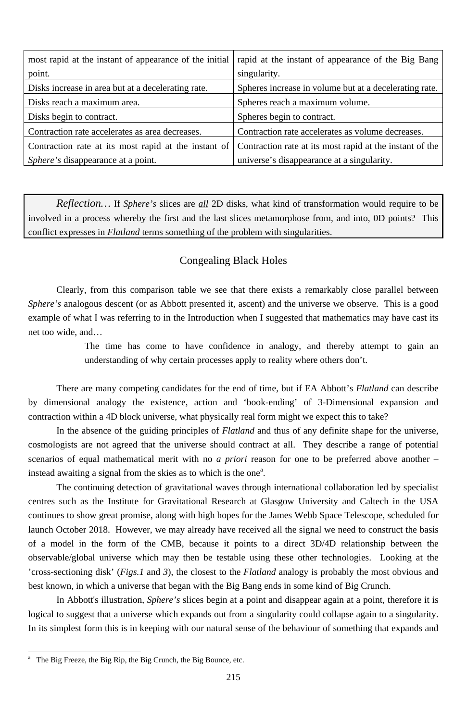| most rapid at the instant of appearance of the initial | rapid at the instant of appearance of the Big Bang       |
|--------------------------------------------------------|----------------------------------------------------------|
| point.                                                 | singularity.                                             |
| Disks increase in area but at a decelerating rate.     | Spheres increase in volume but at a decelerating rate.   |
| Disks reach a maximum area.                            | Spheres reach a maximum volume.                          |
| Disks begin to contract.                               | Spheres begin to contract.                               |
| Contraction rate accelerates as area decreases.        | Contraction rate accelerates as volume decreases.        |
| Contraction rate at its most rapid at the instant of   | Contraction rate at its most rapid at the instant of the |
| <i>Sphere's</i> disappearance at a point.              | universe's disappearance at a singularity.               |

*Reflection…* If *Sphere's* slices are *all* 2D disks, what kind of transformation would require to be involved in a process whereby the first and the last slices metamorphose from, and into, 0D points? This conflict expresses in *Flatland* terms something of the problem with singularities.

In the absence of the guiding principles of *Flatland* and thus of any definite shape for the universe, cosmologists are not agreed that the universe should contract at all. They describe a range of potential scenarios of equal mathematical merit with no *a priori* reason for one to be preferred above another – instead awaiting a signal from the skies as to which is the one<sup>a</sup>.

## Congealing Black Holes

Clearly, from this comparison table we see that there exists a remarkably close parallel between *Sphere's* analogous descent (or as Abbott presented it, ascent) and the universe we observe. This is a good example of what I was referring to in the Introduction when I suggested that mathematics may have cast its net too wide, and…

> The time has come to have confidence in analogy, and thereby attempt to gain an understanding of why certain processes apply to reality where others don't.

There are many competing candidates for the end of time, but if EA Abbott's *Flatland* can describe by dimensional analogy the existence, action and 'book-ending' of 3-Dimensional expansion and contraction within a 4D block universe, what physically real form might we expect this to take?

The continuing detection of gravitational waves through international collaboration led by specialist centres such as the Institute for Gravitational Research at Glasgow University and Caltech in the USA continues to show great promise, along with high hopes for the James Webb Space Telescope, scheduled for launch October 2018. However, we may already have received all the signal we need to construct the basis of a model in the form of the CMB, because it points to a direct 3D/4D relationship between the observable/global universe which may then be testable using these other technologies. Looking at the 'cross-sectioning disk' (*Figs.1* and *3*), the closest to the *Flatland* analogy is probably the most obvious and best known, in which a universe that began with the Big Bang ends in some kind of Big Crunch.

In Abbott's illustration, *Sphere's* slices begin at a point and disappear again at a point, therefore it is logical to suggest that a universe which expands out from a singularity could collapse again to a singularity. In its simplest form this is in keeping with our natural sense of the behaviour of something that expands and

-

<sup>215</sup>

a The Big Freeze, the Big Rip, the Big Crunch, the Big Bounce, etc.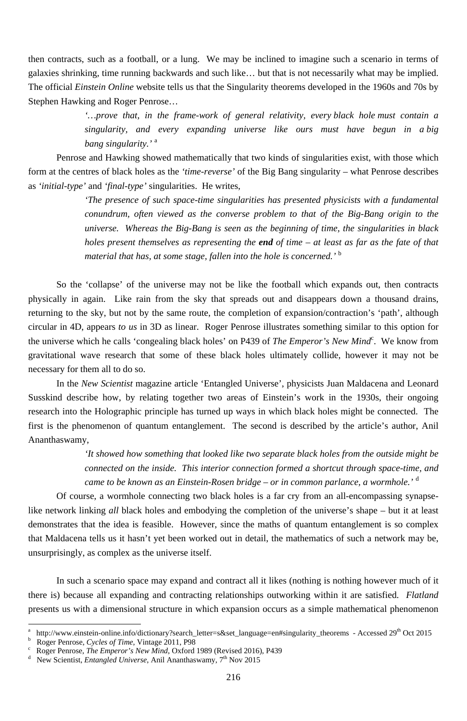then contracts, such as a football, or a lung. We may be inclined to imagine such a scenario in terms of galaxies shrinking, time running backwards and such like… but that is not necessarily what may be implied. The official *Einstein Online* website tells us that the Singularity theorems developed in the 1960s and 70s by Stephen Hawking and Roger Penrose…

> *'…prove that, in the frame-work of general relativity, every black hole must contain a singularity, and every expanding universe like ours must have begun in a big bang singularity.'* <sup>a</sup>

Penrose and Hawking showed mathematically that two kinds of singularities exist, with those which form at the centres of black holes as the *'time-reverse'* of the Big Bang singularity – what Penrose describes as *'initial-type'* and *'final-type'* singularities. He writes,

> *'The presence of such space-time singularities has presented physicists with a fundamental conundrum, often viewed as the converse problem to that of the Big-Bang origin to the universe. Whereas the Big-Bang is seen as the beginning of time, the singularities in black holes present themselves as representing the end of time – at least as far as the fate of that material that has, at some stage, fallen into the hole is concerned.'* <sup>b</sup>

So the 'collapse' of the universe may not be like the football which expands out, then contracts physically in again. Like rain from the sky that spreads out and disappears down a thousand drains, returning to the sky, but not by the same route, the completion of expansion/contraction's 'path', although circular in 4D, appears *to us* in 3D as linear. Roger Penrose illustrates something similar to this option for the universe which he calls 'congealing black holes' on P439 of *The Emperor's New Mind*<sup>c</sup>. We know from gravitational wave research that some of these black holes ultimately collide, however it may not be necessary for them all to do so.

d New Scientist, *Entangled Universe*, Anil Ananthaswamy, 7<sup>th</sup> Nov 2015

-

In the *New Scientist* magazine article 'Entangled Universe', physicists Juan Maldacena and Leonard Susskind describe how, by relating together two areas of Einstein's work in the 1930s, their ongoing research into the Holographic principle has turned up ways in which black holes might be connected. The first is the phenomenon of quantum entanglement. The second is described by the article's author, Anil Ananthaswamy,

> *'It showed how something that looked like two separate black holes from the outside might be connected on the inside. This interior connection formed a shortcut through space-time, and came to be known as an Einstein-Rosen bridge – or in common parlance, a wormhole.'* <sup>d</sup>

Of course, a wormhole connecting two black holes is a far cry from an all-encompassing synapselike network linking *all* black holes and embodying the completion of the universe's shape – but it at least demonstrates that the idea is feasible. However, since the maths of quantum entanglement is so complex

that Maldacena tells us it hasn't yet been worked out in detail, the mathematics of such a network may be, unsurprisingly, as complex as the universe itself.

In such a scenario space may expand and contract all it likes (nothing is nothing however much of it there is) because all expanding and contracting relationships outworking within it are satisfied. *Flatland* presents us with a dimensional structure in which expansion occurs as a simple mathematical phenomenon

a http://www.einstein-online.info/dictionary?search\_letter=s&set\_language=en#singularity\_theorems - Accessed 29<sup>th</sup> Oct 2015 b <sup>b</sup> Roger Penrose, *Cycles of Time*, Vintage 2011, P98<sup>c</sup> Roger Penrose, *The Emneror's New Mind* Oxford

Roger Penrose, *The Emperor's New Mind*, Oxford 1989 (Revised 2016), P439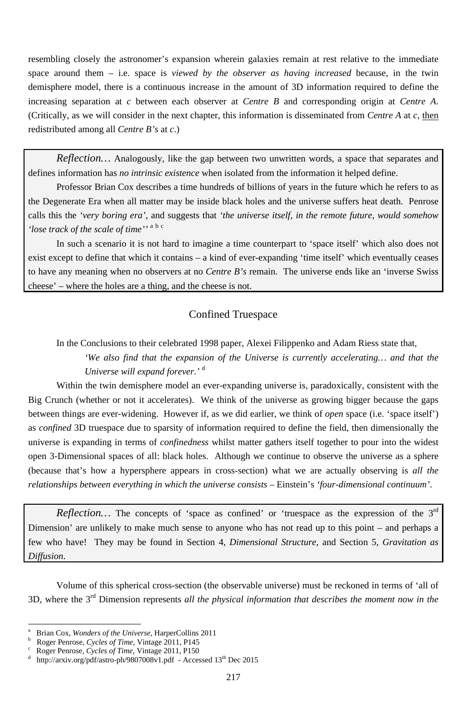resembling closely the astronomer's expansion wherein galaxies remain at rest relative to the immediate space around them – i.e. space is *viewed by the observer as having increased* because, in the twin demisphere model, there is a continuous increase in the amount of 3D information required to define the increasing separation at *c* between each observer at *Centre B* and corresponding origin at *Centre A*. (Critically, as we will consider in the next chapter, this information is disseminated from *Centre A* at *c*, then redistributed among all *Centre B's* at *c*.)

*Reflection…* Analogously, like the gap between two unwritten words, a space that separates and defines information has *no intrinsic existence* when isolated from the information it helped define.

Professor Brian Cox describes a time hundreds of billions of years in the future which he refers to as the Degenerate Era when all matter may be inside black holes and the universe suffers heat death. Penrose calls this the *'very boring era'*, and suggests that *'the universe itself, in the remote future, would somehow 'lose track of the scale of time''* <sup>a</sup> <sup>b</sup> <sup>c</sup>

In such a scenario it is not hard to imagine a time counterpart to 'space itself' which also does not exist except to define that which it contains – a kind of ever-expanding 'time itself' which eventually ceases to have any meaning when no observers at no *Centre B's* remain. The universe ends like an 'inverse Swiss cheese' – where the holes are a thing, and the cheese is not.

*Reflection*… The concepts of 'space as confined' or 'truespace as the expression of the 3<sup>rd</sup> Dimension' are unlikely to make much sense to anyone who has not read up to this point – and perhaps a few who have! They may be found in Section 4, *Dimensional Structure*, and Section 5, *Gravitation as Diffusion*.

# Confined Truespace

In the Conclusions to their celebrated 1998 paper, Alexei Filippenko and Adam Riess state that,

*'We also find that the expansion of the Universe is currently accelerating… and that the Universe will expand forever.'* <sup>d</sup>

Within the twin demisphere model an ever-expanding universe is, paradoxically, consistent with the Big Crunch (whether or not it accelerates). We think of the universe as growing bigger because the gaps between things are ever-widening. However if, as we did earlier, we think of *open* space (i.e. 'space itself') as *confined* 3D truespace due to sparsity of information required to define the field, then dimensionally the universe is expanding in terms of *confinedness* whilst matter gathers itself together to pour into the widest open 3-Dimensional spaces of all: black holes. Although we continue to observe the universe as a sphere (because that's how a hypersphere appears in cross-section) what we are actually observing is *all the relationships between everything in which the universe consists* – Einstein's *'four-dimensional continuum'*.

Volume of this spherical cross-section (the observable universe) must be reckoned in terms of 'all of 3D, where the 3rd Dimension represents *all the physical information that describes the moment now in the* 

-

a Brian Cox, *Wonders of the Universe*, HarperCollins 2011 b Roger Penrose, *Cycles of Time*, Vintage 2011, P145

d http://arxiv.org/pdf/astro-ph/9807008v1.pdf - Accessed 13<sup>th</sup> Dec 2015

Roger Penrose, *Cycles of Time*, Vintage 2011, P150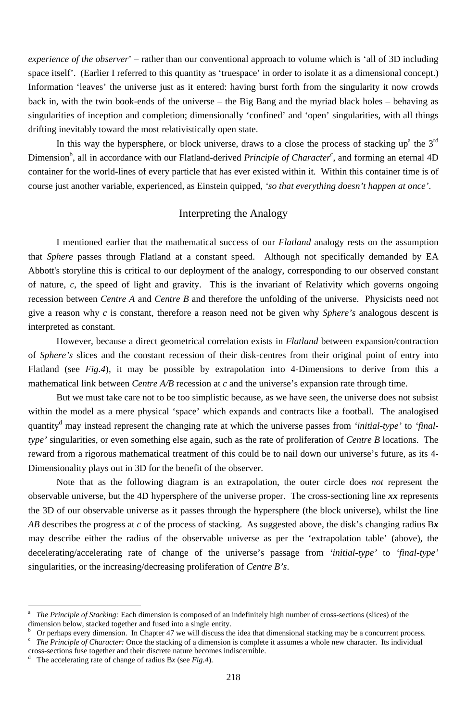*experience of the observer*' – rather than our conventional approach to volume which is 'all of 3D including space itself'. (Earlier I referred to this quantity as 'truespace' in order to isolate it as a dimensional concept.) Information 'leaves' the universe just as it entered: having burst forth from the singularity it now crowds back in, with the twin book-ends of the universe – the Big Bang and the myriad black holes – behaving as singularities of inception and completion; dimensionally 'confined' and 'open' singularities, with all things drifting inevitably toward the most relativistically open state.

In this way the hypersphere, or block universe, draws to a close the process of stacking up<sup>a</sup> the  $3^{rd}$ Dimension<sup>b</sup>, all in accordance with our Flatland-derived *Principle of Character*<sup>c</sup>, and forming an eternal 4D container for the world-lines of every particle that has ever existed within it. Within this container time is of course just another variable, experienced, as Einstein quipped, *'so that everything doesn't happen at once'*.

## Interpreting the Analogy

I mentioned earlier that the mathematical success of our *Flatland* analogy rests on the assumption that *Sphere* passes through Flatland at a constant speed. Although not specifically demanded by EA Abbott's storyline this is critical to our deployment of the analogy, corresponding to our observed constant of nature, *c*, the speed of light and gravity. This is the invariant of Relativity which governs ongoing recession between *Centre A* and *Centre B* and therefore the unfolding of the universe. Physicists need not give a reason why *c* is constant, therefore a reason need not be given why *Sphere's* analogous descent is interpreted as constant.

However, because a direct geometrical correlation exists in *Flatland* between expansion/contraction of *Sphere's* slices and the constant recession of their disk-centres from their original point of entry into Flatland (see *Fig.4*), it may be possible by extrapolation into 4-Dimensions to derive from this a mathematical link between *Centre A/B* recession at *c* and the universe's expansion rate through time.

But we must take care not to be too simplistic because, as we have seen, the universe does not subsist within the model as a mere physical 'space' which expands and contracts like a football. The analogised quantity<sup>d</sup> may instead represent the changing rate at which the universe passes from *'initial-type'* to *'finaltype'* singularities, or even something else again, such as the rate of proliferation of *Centre B* locations. The reward from a rigorous mathematical treatment of this could be to nail down our universe's future, as its 4- Dimensionality plays out in 3D for the benefit of the observer.

Note that as the following diagram is an extrapolation, the outer circle does *not* represent the observable universe, but the 4D hypersphere of the universe proper. The cross-sectioning line *xx* represents the 3D of our observable universe as it passes through the hypersphere (the block universe), whilst the line *AB* describes the progress at *c* of the process of stacking. As suggested above, the disk's changing radius B*x*

may describe either the radius of the observable universe as per the 'extrapolation table' (above), the decelerating/accelerating rate of change of the universe's passage from *'initial-type'* to *'final-type'* singularities, or the increasing/decreasing proliferation of *Centre B's*.

The accelerating rate of change of radius B*x* (see *Fig.4*).

<sup>-</sup>

a *The Principle of Stacking:* Each dimension is composed of an indefinitely high number of cross-sections (slices) of the dimension below, stacked together and fused into a single entity.

b <sup>b</sup> Or perhaps every dimension. In Chapter 47 we will discuss the idea that dimensional stacking may be a concurrent process.<br><sup>c</sup> The Principle of Character: Once the stacking of a dimension is complete it assumes a whole *The Principle of Character:* Once the stacking of a dimension is complete it assumes a whole new character. Its individual cross-sections fuse together and their discrete nature becomes indiscernible. d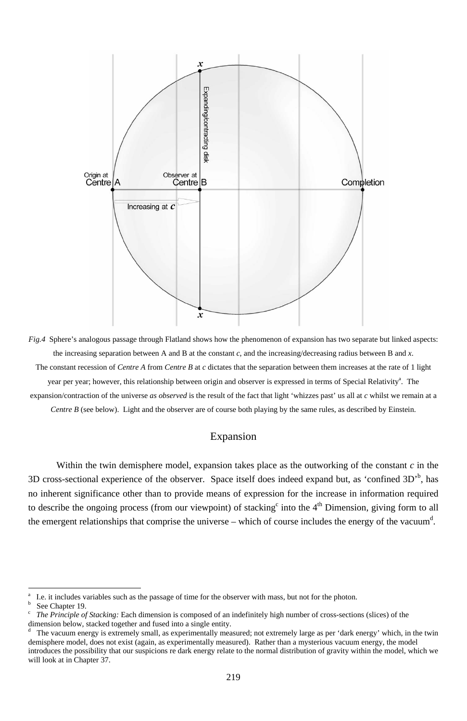



Within the twin demisphere model, expansion takes place as the outworking of the constant *c* in the 3D cross-sectional experience of the observer. Space itself does indeed expand but, as 'confined  $3D<sup>6</sup>$ , has no inherent significance other than to provide means of expression for the increase in information required to describe the ongoing process (from our viewpoint) of stacking<sup>c</sup> into the 4<sup>th</sup> Dimension, giving form to all the emergent relationships that comprise the universe – which of course includes the energy of the vacuum<sup>d</sup>.

a I.e. it includes variables such as the passage of time for the observer with mass, but not for the photon. b

### Expansion

See Chapter 19.

c *The Principle of Stacking:* Each dimension is composed of an indefinitely high number of cross-sections (slices) of the dimension below, stacked together and fused into a single entity.

d The vacuum energy is extremely small, as experimentally measured; not extremely large as per 'dark energy' which, in the twin demisphere model, does not exist (again, as experimentally measured). Rather than a mysterious vacuum energy, the model introduces the possibility that our suspicions re dark energy relate to the normal distribution of gravity within the model, which we will look at in Chapter 37.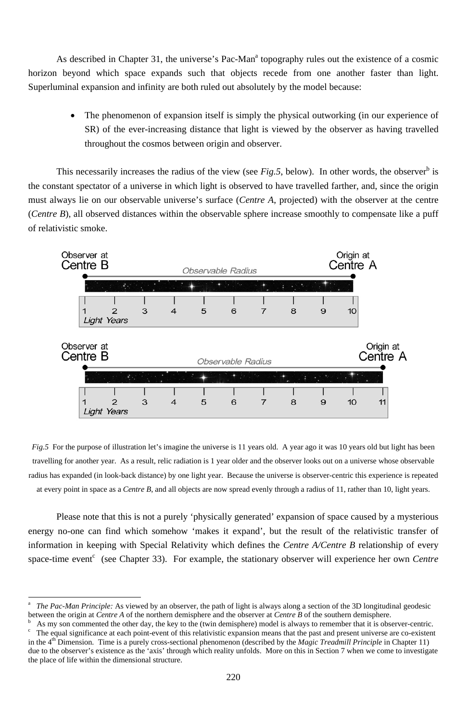As described in Chapter 31, the universe's Pac-Man<sup>a</sup> topography rules out the existence of a cosmic horizon beyond which space expands such that objects recede from one another faster than light. Superluminal expansion and infinity are both ruled out absolutely by the model because:

> • The phenomenon of expansion itself is simply the physical outworking (in our experience of SR) of the ever-increasing distance that light is viewed by the observer as having travelled throughout the cosmos between origin and observer.

This necessarily increases the radius of the view (see  $Fig.5$ , below). In other words, the observer<sup>b</sup> is the constant spectator of a universe in which light is observed to have travelled farther, and, since the origin must always lie on our observable universe's surface (*Centre A*, projected) with the observer at the centre (*Centre B*), all observed distances within the observable sphere increase smoothly to compensate like a puff of relativistic smoke.



Please note that this is not a purely 'physically generated' expansion of space caused by a mysterious energy no-one can find which somehow 'makes it expand', but the result of the relativistic transfer of information in keeping with Special Relativity which defines the *Centre A/Centre B* relationship of every space-time event<sup>c</sup> (see Chapter 33). For example, the stationary observer will experience her own *Centre* 

*Fig.5* For the purpose of illustration let's imagine the universe is 11 years old. A year ago it was 10 years old but light has been travelling for another year. As a result, relic radiation is 1 year older and the observer looks out on a universe whose observable radius has expanded (in look-back distance) by one light year. Because the universe is observer-centric this experience is repeated at every point in space as a *Centre B*, and all objects are now spread evenly through a radius of 11, rather than 10, light years.

<sup>-</sup>

a *The Pac-Man Principle:* As viewed by an observer, the path of light is always along a section of the 3D longitudinal geodesic between the origin at *Centre A* of the northern demisphere and the observer at *Centre B* of the southern demisphere. b As my son commented the other day, the key to the (twin demisphere) model is always to remember that it is observer-centric.<br><sup>c</sup> The equal significance at each point-event of this relativistic expansion means that the pas The equal significance at each point-event of this relativistic expansion means that the past and present universe are co-existent in the 4<sup>th</sup> Dimension. Time is a purely cross-sectional phenomenon (described by the *Magic Treadmill Principle* in Chapter 11) due to the observer's existence as the 'axis' through which reality unfolds. More on this in Section 7 when we come to investigate the place of life within the dimensional structure.